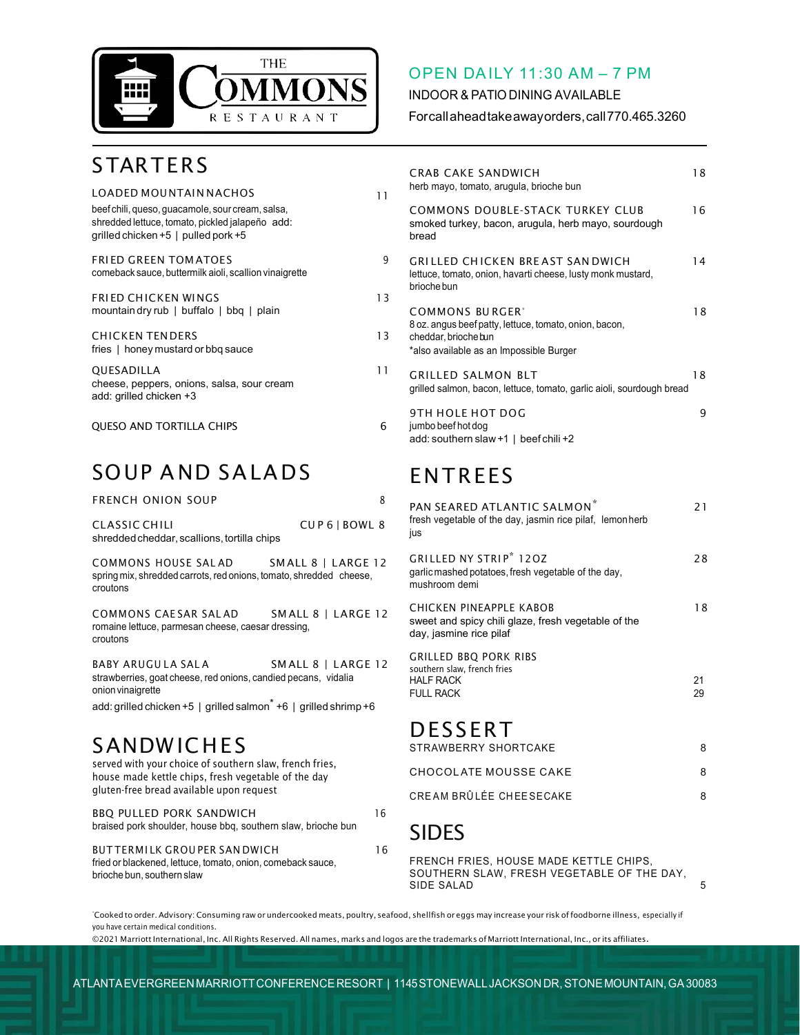

#### OPEN DAILY 11:30 AM – 7 PM

INDOOR & PATIO DINING AVAILABLE

Forcallaheadtakeawayorders,call770.465.3260

## **STARTERS**

| LOADED MOUNTAIN NACHOS                                                                                                                         | 11 |   |
|------------------------------------------------------------------------------------------------------------------------------------------------|----|---|
| beef chili, queso, guacamole, sour cream, salsa,<br>shredded lettuce, tomato, pickled jalapeño add:<br>qrilled chicken $+5$   pulled pork $+5$ |    |   |
| <b>FRIED GREEN TOM ATOES</b><br>comeback sauce, buttermilk aioli, scallion vinaigrette                                                         | q  |   |
| <b>FRIED CHICKEN WINGS</b><br>mountain dry rub   buffalo   bbq   plain                                                                         | 13 |   |
| <b>CHICKEN TENDERS</b><br>fries   honey mustard or bbq sauce                                                                                   | 13 | ξ |
| <b>OUESADILLA</b><br>cheese, peppers, onions, salsa, sour cream<br>add: grilled chicken +3                                                     | 11 |   |
| <b>QUESO AND TORTILLA CHIPS</b>                                                                                                                | 6  |   |

### SOUP A ND SALA DS

| <b>FRENCH ONION SOUP</b>                                                                                 | 8                  |
|----------------------------------------------------------------------------------------------------------|--------------------|
| CLASSIC CHILI<br>shredded cheddar, scallions, tortilla chips                                             | CUP6   BOWL 8      |
| COMMONS HOUSE SALAD<br>spring mix, shredded carrots, red onions, tomato, shredded cheese,<br>croutons    | SMALL 8   LARGE 12 |
| COMMONS CAESAR SALAD<br>romaine lettuce, parmesan cheese, caesar dressing,<br>croutons                   | SMALL 8   LARGE 12 |
| BABY ARUGULA SALA<br>strawberries, goat cheese, red onions, candied pecans, vidalia<br>onion vinaigrette | SMALL 8   LARGE 12 |
| add: grilled chicken +5   grilled salmon <sup>*</sup> +6   grilled shrimp +6                             |                    |

# SANDWICHES<br>served with your choice of southern slaw, french fries,

house made kettle chips, fresh vegetable of the day gluten-free bread available upon request BBQ PULLED PORK SANDWICH 16

| <b>BBO PULLED PORK SANDWICH</b><br>braised pork shoulder, house bbg, southern slaw, brioche bun    | Ιh |
|----------------------------------------------------------------------------------------------------|----|
| <b>BUTTERMILK GROUPER SAN DWICH</b><br>fried or blackened, lettuce, tomato, onion, comeback sauce, | 16 |
| brioche bun, southern slaw                                                                         |    |

| CRAB CAKE SANDWICH<br>herb mayo, tomato, arugula, brioche bun                                                                                            | 18 |
|----------------------------------------------------------------------------------------------------------------------------------------------------------|----|
| COMMONS DOUBLE-STACK TURKEY CLUB<br>smoked turkey, bacon, arugula, herb mayo, sourdough<br>bread                                                         | 16 |
| GRILLED CHICKEN BREAST SAN DWICH<br>lettuce, tomato, onion, havarti cheese, lusty monk mustard,<br>brioche bun                                           | 14 |
| COMMONS BURGER <sup>*</sup><br>8 oz. angus beef patty, lettuce, tomato, onion, bacon,<br>cheddar, brioche bun<br>*also available as an Impossible Burger | 18 |
| GRILLED SALMON BLT<br>grilled salmon, bacon, lettuce, tomato, garlic aioli, sourdough bread                                                              | 18 |

<span id="page-0-2"></span><span id="page-0-0"></span>9TH HOLE HOT DOG 9 jumbo beef hot dog add: southern slaw +1 | beef chili +2

## ENTREES

<span id="page-0-5"></span><span id="page-0-4"></span>

| PAN SEARED ATLANTIC SALMON <sup>*</sup><br>fresh vegetable of the day, jasmin rice pilaf, lemonherb<br>ius       | 21       |
|------------------------------------------------------------------------------------------------------------------|----------|
| <b>GRILLED NY STRIP<sup>*</sup> 120Z</b><br>garlic mashed potatoes, fresh vegetable of the day,<br>mushroom demi | 28       |
| CHICKEN PINEAPPLE KABOB<br>sweet and spicy chili glaze, fresh vegetable of the<br>day, jasmine rice pilaf        | 18       |
| <b>GRILLED BBO PORK RIBS</b><br>southern slaw, french fries<br>HALF RACK<br>FULL RACK                            | 21<br>29 |
|                                                                                                                  |          |

#### <span id="page-0-1"></span>DESSERT STRAWBERRY SHORTCAKE

| <b>SINAWBENNI SHUNTUANE</b> |  |
|-----------------------------|--|
| CHOCOLATE MOUSSE CAKE       |  |
| CREAM BRÛLÉE CHEESECAKE     |  |

## SIDES

FRENCH FRIES, HOUSE MADE KETTLE CHIPS, SOUTHERN SLAW, FRESH VEGETABLE OF THE DAY, SIDE SALAD 5

<span id="page-0-3"></span>Cooked to order. Advisory: Consuming raw or undercooked meats, poultry, seafood, shellfish or eggs may increase your risk of foodborne illness, especially if you have certain medical conditions.

©2021 Marriott International, Inc. All Rights Reserved. All names, marks and logos are the trademarks of Marriott International, Inc., or its affiliates.